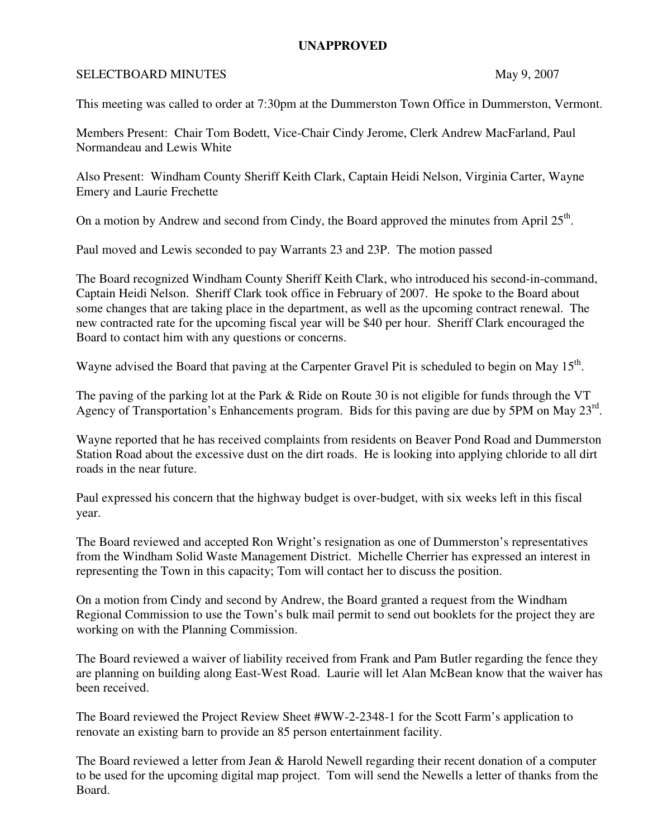## **UNAPPROVED**

## SELECTBOARD MINUTES May 9, 2007

This meeting was called to order at 7:30pm at the Dummerston Town Office in Dummerston, Vermont.

Members Present: Chair Tom Bodett, Vice-Chair Cindy Jerome, Clerk Andrew MacFarland, Paul Normandeau and Lewis White

Also Present: Windham County Sheriff Keith Clark, Captain Heidi Nelson, Virginia Carter, Wayne Emery and Laurie Frechette

On a motion by Andrew and second from Cindy, the Board approved the minutes from April  $25<sup>th</sup>$ .

Paul moved and Lewis seconded to pay Warrants 23 and 23P. The motion passed

The Board recognized Windham County Sheriff Keith Clark, who introduced his second-in-command, Captain Heidi Nelson. Sheriff Clark took office in February of 2007. He spoke to the Board about some changes that are taking place in the department, as well as the upcoming contract renewal. The new contracted rate for the upcoming fiscal year will be \$40 per hour. Sheriff Clark encouraged the Board to contact him with any questions or concerns.

Wayne advised the Board that paving at the Carpenter Gravel Pit is scheduled to begin on May  $15<sup>th</sup>$ .

The paving of the parking lot at the Park & Ride on Route 30 is not eligible for funds through the VT Agency of Transportation's Enhancements program. Bids for this paving are due by 5PM on May 23<sup>rd</sup>.

Wayne reported that he has received complaints from residents on Beaver Pond Road and Dummerston Station Road about the excessive dust on the dirt roads. He is looking into applying chloride to all dirt roads in the near future.

Paul expressed his concern that the highway budget is over-budget, with six weeks left in this fiscal year.

The Board reviewed and accepted Ron Wright's resignation as one of Dummerston's representatives from the Windham Solid Waste Management District. Michelle Cherrier has expressed an interest in representing the Town in this capacity; Tom will contact her to discuss the position.

On a motion from Cindy and second by Andrew, the Board granted a request from the Windham Regional Commission to use the Town's bulk mail permit to send out booklets for the project they are working on with the Planning Commission.

The Board reviewed a waiver of liability received from Frank and Pam Butler regarding the fence they are planning on building along East-West Road. Laurie will let Alan McBean know that the waiver has been received.

The Board reviewed the Project Review Sheet #WW-2-2348-1 for the Scott Farm's application to renovate an existing barn to provide an 85 person entertainment facility.

The Board reviewed a letter from Jean & Harold Newell regarding their recent donation of a computer to be used for the upcoming digital map project. Tom will send the Newells a letter of thanks from the Board.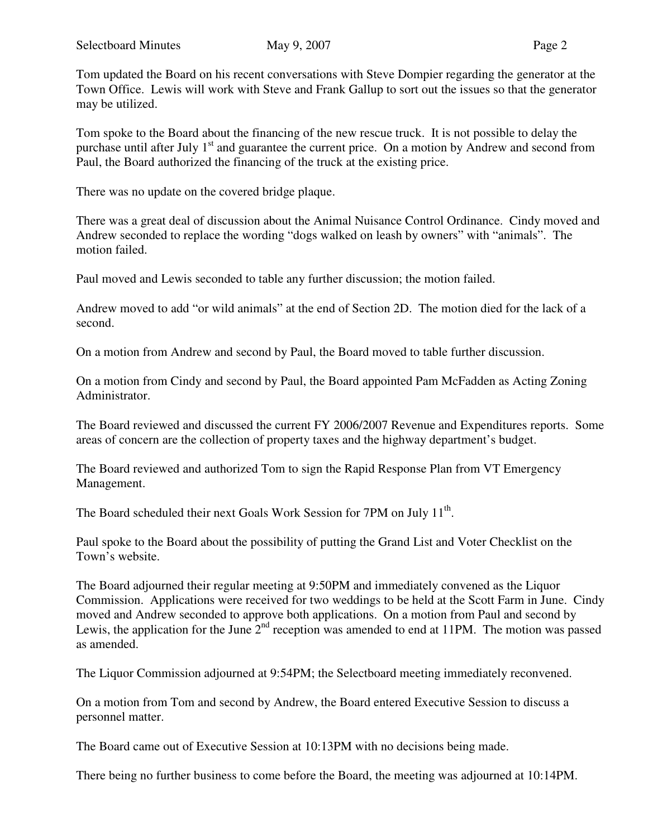Tom updated the Board on his recent conversations with Steve Dompier regarding the generator at the Town Office. Lewis will work with Steve and Frank Gallup to sort out the issues so that the generator may be utilized.

Tom spoke to the Board about the financing of the new rescue truck. It is not possible to delay the purchase until after July 1<sup>st</sup> and guarantee the current price. On a motion by Andrew and second from Paul, the Board authorized the financing of the truck at the existing price.

There was no update on the covered bridge plaque.

There was a great deal of discussion about the Animal Nuisance Control Ordinance. Cindy moved and Andrew seconded to replace the wording "dogs walked on leash by owners" with "animals". The motion failed.

Paul moved and Lewis seconded to table any further discussion; the motion failed.

Andrew moved to add "or wild animals" at the end of Section 2D. The motion died for the lack of a second.

On a motion from Andrew and second by Paul, the Board moved to table further discussion.

On a motion from Cindy and second by Paul, the Board appointed Pam McFadden as Acting Zoning Administrator.

The Board reviewed and discussed the current FY 2006/2007 Revenue and Expenditures reports. Some areas of concern are the collection of property taxes and the highway department's budget.

The Board reviewed and authorized Tom to sign the Rapid Response Plan from VT Emergency Management.

The Board scheduled their next Goals Work Session for 7PM on July 11<sup>th</sup>.

Paul spoke to the Board about the possibility of putting the Grand List and Voter Checklist on the Town's website.

The Board adjourned their regular meeting at 9:50PM and immediately convened as the Liquor Commission. Applications were received for two weddings to be held at the Scott Farm in June. Cindy moved and Andrew seconded to approve both applications. On a motion from Paul and second by Lewis, the application for the June  $2<sup>nd</sup>$  reception was amended to end at 11PM. The motion was passed as amended.

The Liquor Commission adjourned at 9:54PM; the Selectboard meeting immediately reconvened.

On a motion from Tom and second by Andrew, the Board entered Executive Session to discuss a personnel matter.

The Board came out of Executive Session at 10:13PM with no decisions being made.

There being no further business to come before the Board, the meeting was adjourned at 10:14PM.